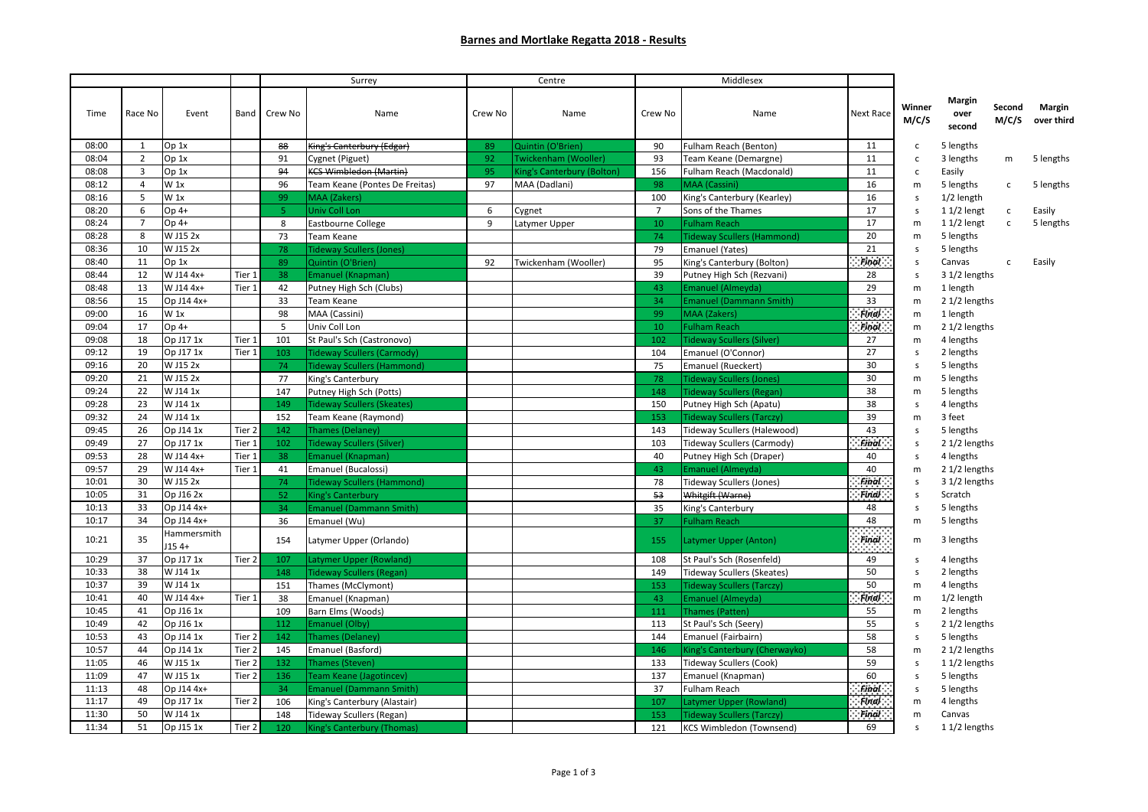## **Barnes and Mortlake Regatta 2018 - Results**

|       |                |                       |                   |                | Surrey                            |         | Centre                     |                | Middlesex                         |                  |                 |                                 |                 |                      |
|-------|----------------|-----------------------|-------------------|----------------|-----------------------------------|---------|----------------------------|----------------|-----------------------------------|------------------|-----------------|---------------------------------|-----------------|----------------------|
| Time  | Race No        | Event                 | Band              | Crew No        | Name                              | Crew No | Name                       | Crew No        | Name                              | <b>Next Race</b> | Winner<br>M/C/S | <b>Margin</b><br>over<br>second | Second<br>M/C/S | Margin<br>over third |
| 08:00 | 1              | Op 1x                 |                   | 88             | King's Canterbury (Edgar)         | 89      | Quintin (O'Brien)          | 90             | Fulham Reach (Benton)             | 11               |                 | 5 lengths                       |                 |                      |
| 08:04 | $\overline{2}$ | Op 1x                 |                   | 91             | Cygnet (Piguet)                   | 92      | Twickenham (Wooller)       | 93             | Team Keane (Demargne)             | 11               | c               | 3 lengths                       | m               | 5 lengths            |
| 08:08 | 3              | Op 1x                 |                   | 94             | <b>KCS Wimbledon (Martin)</b>     | 95      | King's Canterbury (Bolton) | 156            | Fulham Reach (Macdonald)          | 11               |                 | Easily                          |                 |                      |
| 08:12 | $\overline{4}$ | $W_1x$                |                   | 96             | Team Keane (Pontes De Freitas)    | 97      | MAA (Dadlani)              | 98             | MAA (Cassini)                     | 16               | m               | 5 lengths                       | $\mathsf{C}$    | 5 lengths            |
| 08:16 | 5              | $W_1x$                |                   | 99             | MAA (Zakers)                      |         |                            | 100            | King's Canterbury (Kearley)       | 16               | <sub>S</sub>    | 1/2 length                      |                 |                      |
| 08:20 | 6              | Op 4+                 |                   | 5 <sup>1</sup> | Univ Coll Lon                     | 6       | Cygnet                     | $\overline{7}$ | Sons of the Thames                | 17               | <sub>S</sub>    | $11/2$ lengt                    | $\mathsf{C}$    | Easily               |
| 08:24 | $\overline{7}$ | Op 4+                 |                   | 8              | Eastbourne College                | 9       | Latymer Upper              | 10             | <b>Fulham Reach</b>               | 17               | m               | $11/2$ lengt                    | $\mathsf{C}$    | 5 lengths            |
| 08:28 | 8              | W J15 2x              |                   | 73             | Team Keane                        |         |                            | 74             | Tideway Scullers (Hammond)        | 20               | m               | 5 lengths                       |                 |                      |
| 08:36 | 10             | W J15 2x              |                   | 78             | <b>Tideway Scullers (Jones)</b>   |         |                            | 79             | Emanuel (Yates)                   | 21               | s               | 5 lengths                       |                 |                      |
| 08:40 | 11             | Op 1x                 |                   | 89             | Quintin (O'Brien)                 | 92      | Twickenham (Wooller)       | 95             | King's Canterbury (Bolton)        | <b>Final</b>     | s               | Canvas                          | $\mathsf{C}$    | Easily               |
| 08:44 | 12             | W J14 4x+             | Tier 1            | 38             | Emanuel (Knapman)                 |         |                            | 39             | Putney High Sch (Rezvani)         | 28               | s               | 3 1/2 lengths                   |                 |                      |
| 08:48 | 13             | W J14 4x+             | Tier 1            | 42             | Putney High Sch (Clubs)           |         |                            | 43             | Emanuel (Almeyda)                 | 29               | m               | 1 length                        |                 |                      |
| 08:56 | 15             | Op J14 4x+            |                   | 33             | Team Keane                        |         |                            | 34             | <b>Emanuel (Dammann Smith)</b>    | 33               | m               | 2 1/2 lengths                   |                 |                      |
| 09:00 | 16             | $W_1x$                |                   | 98             | MAA (Cassini)                     |         |                            | 99             | MAA (Zakers)                      | <b>Final</b>     | m               | 1 length                        |                 |                      |
| 09:04 | 17             | $Op 4+$               |                   | 5              | Univ Coll Lon                     |         |                            | 10             | <b>Fulham Reach</b>               | <b>Final</b>     |                 |                                 |                 |                      |
|       |                |                       |                   |                |                                   |         |                            |                |                                   |                  | m               | 2 1/2 lengths                   |                 |                      |
| 09:08 | 18             | Op J17 1x             | Tier 1            | 101            | St Paul's Sch (Castronovo)        |         |                            | 102            | <b>Tideway Scullers (Silver)</b>  | 27               | m               | 4 lengths                       |                 |                      |
| 09:12 | 19             | Op J17 1x             | Tier 1            | 103            | <b>Tideway Scullers (Carmody)</b> |         |                            | 104            | Emanuel (O'Connor)                | 27               | S               | 2 lengths                       |                 |                      |
| 09:16 | 20             | W J15 2x              |                   | 74             | <b>Tideway Scullers (Hammond)</b> |         |                            | 75             | Emanuel (Rueckert)                | 30               | s               | 5 lengths                       |                 |                      |
| 09:20 | 21             | W J15 2x              |                   | 77             | King's Canterbury                 |         |                            | 78             | <b>Tideway Scullers (Jones)</b>   | 30               | m               | 5 lengths                       |                 |                      |
| 09:24 | 22             | W J14 1x              |                   | 147            | Putney High Sch (Potts)           |         |                            | 148            | <b>Tideway Scullers (Regan)</b>   | 38               | m               | 5 lengths                       |                 |                      |
| 09:28 | 23             | W J14 1x              |                   | 149            | <b>Tideway Scullers (Skeates)</b> |         |                            | 150            | Putney High Sch (Apatu)           | 38               | s               | 4 lengths                       |                 |                      |
| 09:32 | 24             | W J14 1x              |                   | 152            | Team Keane (Raymond)              |         |                            | 153            | [ideway Scullers (Tarczy          | 39               | m               | 3 feet                          |                 |                      |
| 09:45 | 26             | Op J14 1x             | Tier <sub>2</sub> | 142            | <b>Thames (Delaney)</b>           |         |                            | 143            | Tideway Scullers (Halewood)       | 43               | -S              | 5 lengths                       |                 |                      |
| 09:49 | 27             | Op J17 1x             | Tier 1            | 102            | <b>Tideway Scullers (Silver)</b>  |         |                            | 103            | Tideway Scullers (Carmody)        | <b>Final</b>     | S               | 2 1/2 lengths                   |                 |                      |
| 09:53 | 28             | W J14 4x+             | Tier 1            | 38             | Emanuel (Knapman)                 |         |                            | 40             | Putney High Sch (Draper)          | 40               | -S              | 4 lengths                       |                 |                      |
| 09:57 | 29             | W J14 4x+             | Tier 1            | 41             | Emanuel (Bucalossi)               |         |                            | 43             | Emanuel (Almeyda)                 | 40               | m               | 21/2 lengths                    |                 |                      |
| 10:01 | 30             | W J15 2x              |                   | 74             | <b>Tideway Scullers (Hammond)</b> |         |                            | 78             | <b>Tideway Scullers (Jones)</b>   | <b>Final</b>     |                 | 3 1/2 lengths                   |                 |                      |
| 10:05 | 31             | Op J16 2x             |                   | 52             | <b>King's Canterbury</b>          |         |                            | 53             | Whitgift (Warne)                  | <b>Final</b>     | S               | Scratch                         |                 |                      |
| 10:13 | 33             | Op J14 4x+            |                   | 34             | <b>Emanuel (Dammann Smith)</b>    |         |                            | 35             | King's Canterbury                 | 48               |                 | 5 lengths                       |                 |                      |
| 10:17 | 34             | Op J14 4x+            |                   | 36             | Emanuel (Wu)                      |         |                            | 37             | <b>Fulham Reach</b>               | 48               | m               | 5 lengths                       |                 |                      |
| 10:21 | 35             | Hammersmith<br>J15 4+ |                   | 154            | Latymer Upper (Orlando)           |         |                            | 155            | Latymer Upper (Anton)             | <b>Final</b>     | m               | 3 lengths                       |                 |                      |
| 10:29 | 37             | Op J17 1x             | Tier <sub>2</sub> | 107            | Latymer Upper (Rowland)           |         |                            | 108            | St Paul's Sch (Rosenfeld)         | 49               |                 | 4 lengths                       |                 |                      |
| 10:33 | 38             | W J14 1x              |                   | 148            | <b>Tideway Scullers (Regan)</b>   |         |                            | 149            | <b>Tideway Scullers (Skeates)</b> | 50               | s               | 2 lengths                       |                 |                      |
| 10:37 | 39             | W J14 1x              |                   | 151            | Thames (McClymont)                |         |                            | 153            | Tideway Scullers (Tarczy)         | 50               | m               | 4 lengths                       |                 |                      |
| 10:41 | 40             | W J14 4x+             | Tier 1            | 38             | Emanuel (Knapman)                 |         |                            | 43             | <b>Emanuel (Almeyda)</b>          | <b>Final</b>     | m               | 1/2 length                      |                 |                      |
| 10:45 | 41             | Op J16 1x             |                   | 109            | Barn Elms (Woods)                 |         |                            | 111            | Thames (Patten)                   | 55               | m               | 2 lengths                       |                 |                      |
| 10:49 | 42             | Op J16 1x             |                   | 112            | Emanuel (Olby)                    |         |                            | 113            | St Paul's Sch (Seery)             | 55               | s               | 2 1/2 lengths                   |                 |                      |
| 10:53 | 43             | Op J14 1x             | Tier <sub>2</sub> | 142            | <b>Thames (Delaney)</b>           |         |                            | 144            | Emanuel (Fairbairn)               | 58               | s               | 5 lengths                       |                 |                      |
| 10:57 | 44             | Op J14 1x             | Tier 2            | 145            | Emanuel (Basford)                 |         |                            | 146            | King's Canterbury (Cherwayko)     | 58               | m               | 21/2 lengths                    |                 |                      |
| 11:05 | 46             | W J15 1x              | Tier 2            | 132            | Thames (Steven)                   |         |                            | 133            | <b>Tideway Scullers (Cook)</b>    | 59               | $\mathsf{s}$    | 11/2 lengths                    |                 |                      |
| 11:09 | 47             | W J15 1x              | Tier <sub>2</sub> | 136            | <b>Team Keane (Jagotincev)</b>    |         |                            | 137            | Emanuel (Knapman)                 | 60               | -S              | 5 lengths                       |                 |                      |
| 11:13 | 48             | Op J14 4x+            |                   | 34             | <b>Emanuel (Dammann Smith)</b>    |         |                            | 37             | <b>Fulham Reach</b>               | <b>Final</b>     | S               | 5 lengths                       |                 |                      |
| 11:17 | 49             | Op J17 1x             | Tier 2            | 106            | King's Canterbury (Alastair)      |         |                            | 107            | Latymer Upper (Rowland)           | <b>Final</b>     | m               | 4 lengths                       |                 |                      |
| 11:30 | 50             | W J14 1x              |                   | 148            | Tideway Scullers (Regan)          |         |                            | 153            | Tideway Scullers (Tarczy)         | <b>Final</b>     | m               | Canvas                          |                 |                      |
| 11:34 | 51             | Op J15 1x             | Tier <sub>2</sub> | 120            |                                   |         |                            | 121            | <b>KCS Wimbledon (Townsend)</b>   | 69               |                 |                                 |                 |                      |
|       |                |                       |                   |                | <b>King's Canterbury (Thomas)</b> |         |                            |                |                                   |                  |                 | $11/2$ lengths                  |                 |                      |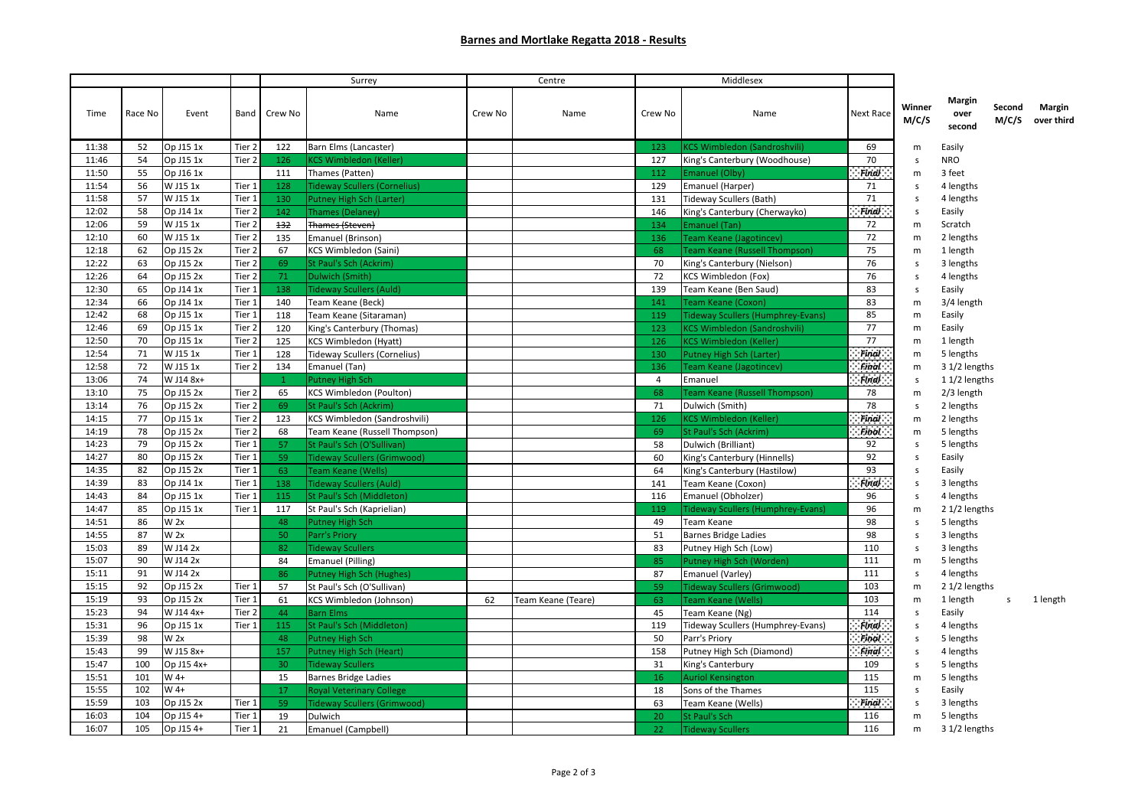## **Barnes and Mortlake Regatta 2018 - Results**

|       |         |            |                   |              | Surrey                              | Centre  |                    |                | Middlesex                                |                  |                 |                          |                 |                      |
|-------|---------|------------|-------------------|--------------|-------------------------------------|---------|--------------------|----------------|------------------------------------------|------------------|-----------------|--------------------------|-----------------|----------------------|
| Time  | Race No | Event      |                   | Band Crew No | Name                                | Crew No | Name               | Crew No        | Name                                     | <b>Next Race</b> | Winner<br>M/C/S | Margin<br>over<br>second | Second<br>M/C/S | Margin<br>over third |
| 11:38 | 52      | Op J15 1x  | Tier <sub>2</sub> | 122          | Barn Elms (Lancaster)               |         |                    | 123            | <b>KCS Wimbledon (Sandroshvili)</b>      | 69               | m               | Easily                   |                 |                      |
| 11:46 | 54      | Op J15 1x  | Tier <sub>2</sub> | 126          | <b>KCS Wimbledon (Keller)</b>       |         |                    | 127            | King's Canterbury (Woodhouse)            | 70               | s               | <b>NRO</b>               |                 |                      |
| 11:50 | 55      | Op J16 1x  |                   | 111          | Thames (Patten)                     |         |                    | 112            | Emanuel (Olby)                           | <b>Final</b>     | m               | 3 feet                   |                 |                      |
| 11:54 | 56      | W J15 1x   | Tier 1            | 128          | <b>Tideway Scullers (Cornelius)</b> |         |                    | 129            | Emanuel (Harper)                         | 71               | s               | 4 lengths                |                 |                      |
| 11:58 | 57      | W J15 1x   | Tier 1            | 130          | Putney High Sch (Larter)            |         |                    | 131            | <b>Tideway Scullers (Bath)</b>           | 71               | S               | 4 lengths                |                 |                      |
| 12:02 | 58      | Op J14 1x  | Tier <sub>2</sub> | 142          | Thames (Delaney)                    |         |                    | 146            | King's Canterbury (Cherwayko)            | <b>Final</b>     | s               | Easily                   |                 |                      |
| 12:06 | 59      | W J15 1x   | Tier <sub>2</sub> | 132          | Thames (Steven)                     |         |                    | 134            | Emanuel (Tan)                            | 72               | m               | Scratch                  |                 |                      |
| 12:10 | 60      | W J15 1x   | Tier <sub>2</sub> | 135          | Emanuel (Brinson)                   |         |                    | 136            | <b>Team Keane (Jagotincev)</b>           | 72               | m               | 2 lengths                |                 |                      |
| 12:18 | 62      | Op J15 2x  | Tier <sub>2</sub> | 67           | <b>KCS Wimbledon (Saini)</b>        |         |                    | 68             | <b>Team Keane (Russell Thompson)</b>     | 75               | m               | 1 length                 |                 |                      |
| 12:22 | 63      | Op J15 2x  | Tier <sub>2</sub> | 69           | St Paul's Sch (Ackrim)              |         |                    | 70             | King's Canterbury (Nielson)              | 76               | s               | 3 lengths                |                 |                      |
| 12:26 | 64      | Op J15 2x  | Tier <sub>2</sub> | 71           | Dulwich (Smith)                     |         |                    | 72             | KCS Wimbledon (Fox)                      | 76               | S               | 4 lengths                |                 |                      |
| 12:30 | 65      | Op J14 1x  | Tier 1            | 138          | <b>Tideway Scullers (Auld)</b>      |         |                    | 139            | Team Keane (Ben Saud)                    | 83               | S               | Easily                   |                 |                      |
| 12:34 | 66      | Op J14 1x  | Tier 1            | 140          | Team Keane (Beck)                   |         |                    | 141            | Team Keane (Coxon)                       | 83               | m               | 3/4 length               |                 |                      |
| 12:42 | 68      | Op J15 1x  | Tier 1            | 118          | Team Keane (Sitaraman)              |         |                    | 119            | <b>Tideway Scullers (Humphrey-Evans)</b> | 85               | m               | Easily                   |                 |                      |
| 12:46 | 69      | Op J15 1x  | Tier <sub>2</sub> | 120          | King's Canterbury (Thomas)          |         |                    | 123            | <b>KCS Wimbledon (Sandroshvili)</b>      | 77               | m               | Easily                   |                 |                      |
| 12:50 | 70      | Op J15 1x  | Tier <sub>2</sub> | 125          | <b>KCS Wimbledon (Hyatt)</b>        |         |                    | 126            | <b>KCS Wimbledon (Keller)</b>            | 77               | m               | 1 length                 |                 |                      |
| 12:54 | 71      | W J15 1x   | Tier 1            | 128          | <b>Tideway Scullers (Cornelius)</b> |         |                    | 130            | Putney High Sch (Larter)                 | <b>Final</b>     |                 | 5 lengths                |                 |                      |
| 12:58 | 72      |            | Tier 2            |              |                                     |         |                    |                |                                          | <b>Final</b>     | m               |                          |                 |                      |
|       | 74      | W J15 1x   |                   | 134          | Emanuel (Tan)                       |         |                    | 136            | Team Keane (Jagotincev)                  |                  | m               | 3 1/2 lengths            |                 |                      |
| 13:06 |         | W J14 8x+  |                   | $\mathbf{1}$ | Putney High Sch                     |         |                    | $\overline{4}$ | Emanuel                                  | <b>Final</b>     | s               | 11/2 lengths             |                 |                      |
| 13:10 | 75      | Op J15 2x  | Tier <sub>2</sub> | 65           | <b>KCS Wimbledon (Poulton)</b>      |         |                    | 68             | Team Keane (Russell Thompson)            | 78               | m               | 2/3 length               |                 |                      |
| 13:14 | 76      | Op J15 2x  | Tier 2            | 69           | St Paul's Sch (Ackrim)              |         |                    | 71             | Dulwich (Smith)                          | 78               | s               | 2 lengths                |                 |                      |
| 14:15 | 77      | Op J15 1x  | Tier <sub>2</sub> | 123          | KCS Wimbledon (Sandroshvili)        |         |                    | 126            | <b>KCS Wimbledon (Keller)</b>            | <b>Final</b>     | m               | 2 lengths                |                 |                      |
| 14:19 | 78      | Op J15 2x  | Tier <sub>2</sub> | 68           | Team Keane (Russell Thompson)       |         |                    | 69             | St Paul's Sch (Ackrim)                   | <b>Final</b>     | m               | 5 lengths                |                 |                      |
| 14:23 | 79      | Op J15 2x  | Tier 1            | 57           | St Paul's Sch (O'Sullivan)          |         |                    | 58             | Dulwich (Brilliant)                      | 92               | s               | 5 lengths                |                 |                      |
| 14:27 | 80      | Op J15 2x  | Tier 1            | 59           | <b>Tideway Scullers (Grimwood)</b>  |         |                    | 60             | King's Canterbury (Hinnells)             | 92               | S               | Easily                   |                 |                      |
| 14:35 | 82      | Op J15 2x  | Tier 1            | 63           | <b>Team Keane (Wells)</b>           |         |                    | 64             | King's Canterbury (Hastilow)             | 93               | s               | Easily                   |                 |                      |
| 14:39 | 83      | Op J14 1x  | Tier 1            | 138          | <b>Tideway Scullers (Auld)</b>      |         |                    | 141            | Team Keane (Coxon)                       | <b>Final</b>     | S               | 3 lengths                |                 |                      |
| 14:43 | 84      | Op J15 1x  | Tier 1            | 115          | St Paul's Sch (Middleton)           |         |                    | 116            | Emanuel (Obholzer)                       | 96               | s               | 4 lengths                |                 |                      |
| 14:47 | 85      | Op J15 1x  | Tier 1            | 117          | St Paul's Sch (Kaprielian)          |         |                    | 119            | <b>Tideway Scullers (Humphrey-Evans)</b> | 96               | m               | 2 1/2 lengths            |                 |                      |
| 14:51 | 86      | $W$ 2x     |                   | 48           | <b>Putney High Sch</b>              |         |                    | 49             | Team Keane                               | 98               | s               | 5 lengths                |                 |                      |
| 14:55 | 87      | $W$ 2x     |                   | 50           | Parr's Priory                       |         |                    | 51             | <b>Barnes Bridge Ladies</b>              | 98               | S               | 3 lengths                |                 |                      |
| 15:03 | 89      | W J14 2x   |                   | 82           | <b>Tideway Scullers</b>             |         |                    | 83             | Putney High Sch (Low)                    | 110              | s               | 3 lengths                |                 |                      |
| 15:07 | 90      | W J14 2x   |                   | 84           | Emanuel (Pilling)                   |         |                    | 85             | Putney High Sch (Worden)                 | 111              | m               | 5 lengths                |                 |                      |
| 15:11 | 91      | W J14 2x   |                   | 86           | <b>Putney High Sch (Hughes)</b>     |         |                    | 87             | Emanuel (Varley)                         | 111              | s               | 4 lengths                |                 |                      |
| 15:15 | 92      | Op J15 2x  | Tier 1            | 57           | St Paul's Sch (O'Sullivan)          |         |                    | 59             | <b>Tideway Scullers (Grimwood)</b>       | 103              | m               | 2 1/2 lengths            |                 |                      |
| 15:19 | 93      | Op J15 2x  | Tier 1            | 61           | KCS Wimbledon (Johnson)             | 62      | Team Keane (Teare) | 63             | Team Keane (Wells)                       | 103              | m               | 1 length                 | $\mathsf{s}$    | 1 length             |
| 15:23 | 94      | W J14 4x+  | Tier 2            | 44           | <b>Barn Elms</b>                    |         |                    | 45             | Team Keane (Ng)                          | 114              | $\sf S$         | Easily                   |                 |                      |
| 15:31 | 96      | Op J15 1x  | Tier 1            | 115          | St Paul's Sch (Middleton)           |         |                    | 119            | <b>Tideway Scullers (Humphrey-Evans)</b> | Final            | s               | 4 lengths                |                 |                      |
| 15:39 | 98      | W 2x       |                   | 48           | Putney High Sch                     |         |                    | 50             | Parr's Priory                            | <b>Final</b>     | $\sf S$         | 5 lengths                |                 |                      |
| 15:43 | 99      | W J15 8x+  |                   | 157          | Putney High Sch (Heart)             |         |                    | 158            | Putney High Sch (Diamond)                | <b>Final</b>     | s               | 4 lengths                |                 |                      |
| 15:47 | 100     | Op J15 4x+ |                   | 30           | <b>Tideway Scullers</b>             |         |                    | 31             | King's Canterbury                        | 109              | s               | 5 lengths                |                 |                      |
| 15:51 | 101     | W 4+       |                   | 15           | <b>Barnes Bridge Ladies</b>         |         |                    | 16             | <b>Auriol Kensington</b>                 | 115              | m               | 5 lengths                |                 |                      |
| 15:55 | 102     | $W$ 4+     |                   | 17           | <b>Royal Veterinary College</b>     |         |                    | 18             | Sons of the Thames                       | 115              | s               | Easily                   |                 |                      |
| 15:59 | 103     | Op J15 2x  | Tier 1            | 59           | <b>Tideway Scullers (Grimwood)</b>  |         |                    | 63             | Team Keane (Wells)                       | <b>Final</b>     | S               | 3 lengths                |                 |                      |
| 16:03 | 104     | Op J154+   | Tier 1            | 19           | Dulwich                             |         |                    | 20             | St Paul's Sch                            | 116              | m               | 5 lengths                |                 |                      |
| 16:07 | 105     | Op J15 4+  | Tier 1            | 21           | Emanuel (Campbell)                  |         |                    | 22             | <b>Tideway Scullers</b>                  | 116              | m               | 3 1/2 lengths            |                 |                      |
|       |         |            |                   |              |                                     |         |                    |                |                                          |                  |                 |                          |                 |                      |